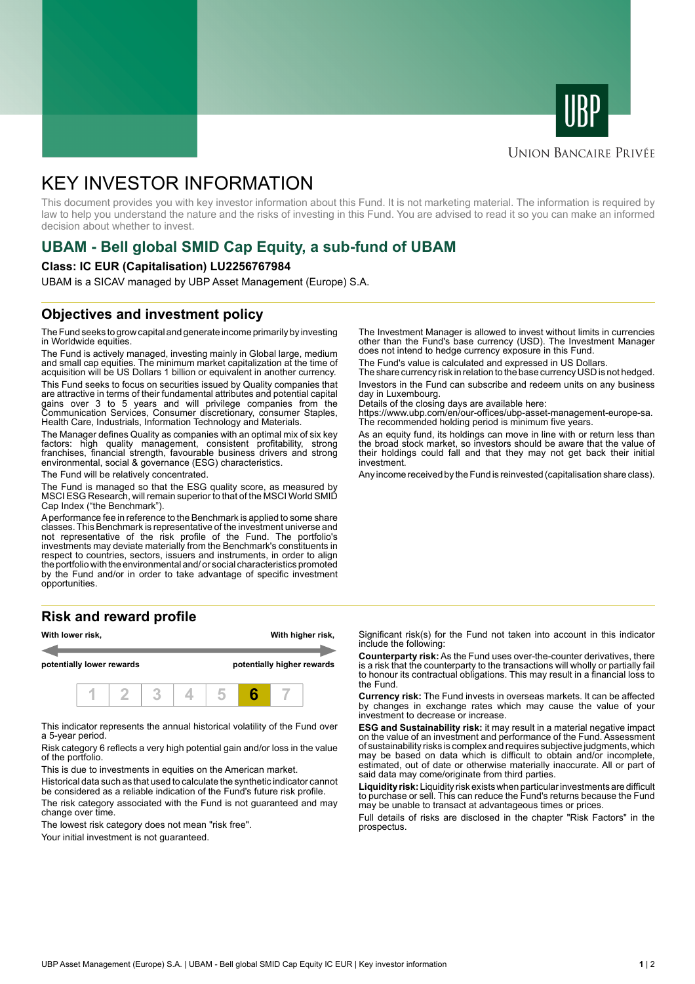



# **UNION BANCAIRE PRIVÉE**

# KEY INVESTOR INFORMATION

This document provides you with key investor information about this Fund. It is not marketing material. The information is required by law to help you understand the nature and the risks of investing in this Fund. You are advised to read it so you can make an informed decision about whether to invest.

# **UBAM - Bell global SMID Cap Equity, a sub-fund of UBAM**

### **Class: IC EUR (Capitalisation) LU2256767984**

UBAM is a SICAV managed by UBP Asset Management (Europe) S.A.

# **Objectives and investment policy**

The Fund seeks to grow capital and generate income primarily by investing in Worldwide equities.

The Fund is actively managed, investing mainly in Global large, medium and small cap equities. The minimum market capitalization at the time of acquisition will be US Dollars 1 billion or equivalent in another currency.

This Fund seeks to focus on securities issued by Quality companies that are attractive in terms of their fundamental attributes and potential capital gains over 3 to 5 years and will privilege companies from the Communication Services, Consumer discretionary, consumer Staples, Health Care, Industrials, Information Technology and Materials.

The Manager defines Quality as companies with an optimal mix of six key factors: high quality management, consistent profitability, strong franchises, financial strength, favourable business drivers and strong environmental, social & governance (ESG) characteristics.

The Fund will be relatively concentrated.

The Fund is managed so that the ESG quality score, as measured by MSCI ESG Research, will remain superior to that of the MSCI World SMID Cap Index ("the Benchmark").

A performance fee in reference to the Benchmark is applied to some share classes. This Benchmark is representative of the investment universe and not representative of the risk profile of the Fund. The portfolio's investments may deviate materially from the Benchmark's constituents in respect to countries, sectors, issuers and instruments, in order to align the portfolio with the environmental and/ or social characteristics promoted by the Fund and/or in order to take advantage of specific investment opportunities.

# **Risk and reward profile**



This indicator represents the annual historical volatility of the Fund over a 5-year period.

Risk category 6 reflects a very high potential gain and/or loss in the value of the portfolio.

This is due to investments in equities on the American market.

Historical data such as that used to calculate the synthetic indicator cannot be considered as a reliable indication of the Fund's future risk profile.

The risk category associated with the Fund is not guaranteed and may change over time.

The lowest risk category does not mean "risk free".

Your initial investment is not quaranteed.

The Investment Manager is allowed to invest without limits in currencies other than the Fund's base currency (USD). The Investment Manager does not intend to hedge currency exposure in this Fund.

The Fund's value is calculated and expressed in US Dollars.

The share currency risk in relation to the base currency USD is not hedged. Investors in the Fund can subscribe and redeem units on any business day in Luxembourg.

Details of the closing days are available here:

https://www.ubp.com/en/our-offices/ubp-asset-management-europe-sa. The recommended holding period is minimum five years.

As an equity fund, its holdings can move in line with or return less than the broad stock market, so investors should be aware that the value of their holdings could fall and that they may not get back their initial investment.

Any income received by the Fund is reinvested (capitalisation share class).

Significant risk(s) for the Fund not taken into account in this indicator include the following:

**Counterparty risk:** As the Fund uses over-the-counter derivatives, there is a risk that the counterparty to the transactions will wholly or partially fail to honour its contractual obligations. This may result in a financial loss to the Fund.

**Currency risk:** The Fund invests in overseas markets. It can be affected by changes in exchange rates which may cause the value of your investment to decrease or increase.

**ESG and Sustainability risk:** it may result in a material negative impact on the value of an investment and performance of the Fund. Assessment of sustainability risks is complex and requires subjective judgments, which may be based on data which is difficult to obtain and/or incomplete, estimated, out of date or otherwise materially inaccurate. All or part of said data may come/originate from third parties.

**Liquidity risk:** Liquidity risk exists when particular investments are difficult to purchase or sell. This can reduce the Fund's returns because the Fund may be unable to transact at advantageous times or prices.

Full details of risks are disclosed in the chapter "Risk Factors" in the prospectus.